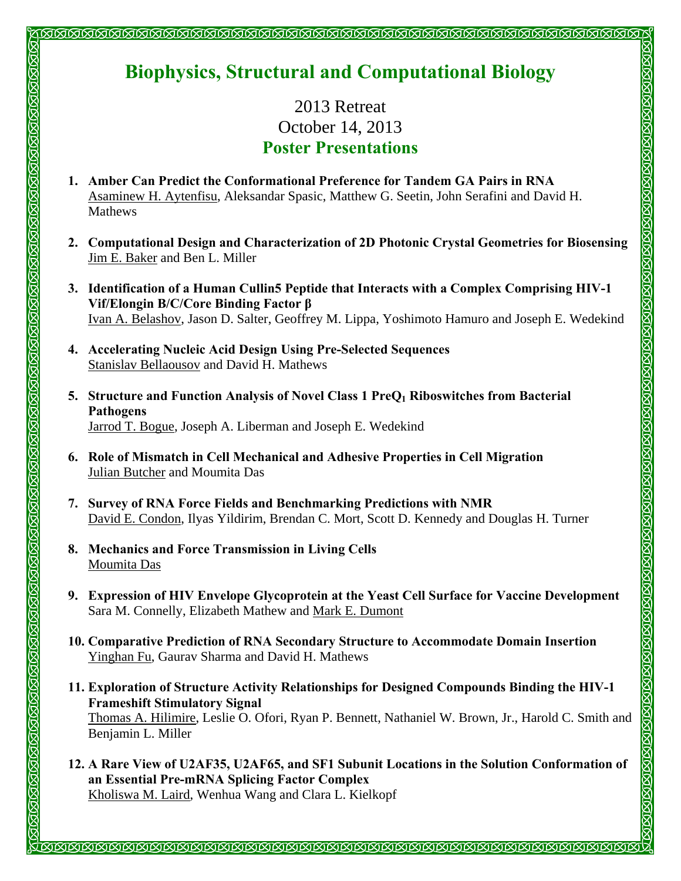